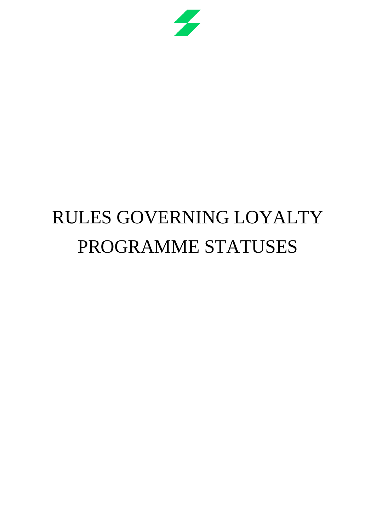

# RULES GOVERNING LOYALTY PROGRAMME STATUSES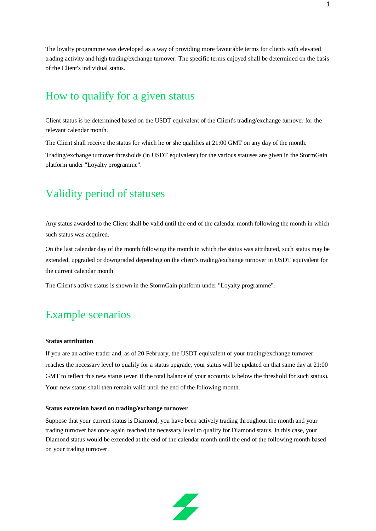The loyalty programme was developed as a way of providing more favourable terms for clients with elevated trading activity and high trading/exchange turnover. The specific terms enjoyed shall be determined on the basis of the Client's individual status.

# How to qualify for a given status

Client status is be determined based on the USDT equivalent of the Client's trading/exchange turnover for the relevant calendar month.

The Client shall receive the status for which he or she qualifies at 21:00 GMT on any day of the month.

Trading/exchange turnover thresholds (in USDT equivalent) for the various statuses are given in the StormGain platform under "Loyalty programme".

## Validity period of statuses

Any status awarded to the Client shall be valid until the end of the calendar month following the month in which such status was acquired.

On the last calendar day of the month following the month in which the status was attributed, such status may be extended, upgraded or downgraded depending on the client's trading/exchange turnover in USDT equivalent for the current calendar month.

The Client's active status is shown in the StormGain platform under "Loyalty programme".

## Example scenarios

### **Status attribution**

If you are an active trader and, as of 20 February, the USDT equivalent of your trading/exchange turnover reaches the necessary level to qualify for a status upgrade, your status will be updated on that same day at 21:00 GMT to reflect this new status (even if the total balance of your accounts is below the threshold for such status). Your new status shall then remain valid until the end of the following month.

#### **Status extension based on trading/exchange turnover**

Suppose that your current status is Diamond, you have been actively trading throughout the month and your trading turnover has once again reached the necessary level to qualify for Diamond status. In this case, your Diamond status would be extended at the end of the calendar month until the end of the following month based on your trading turnover.